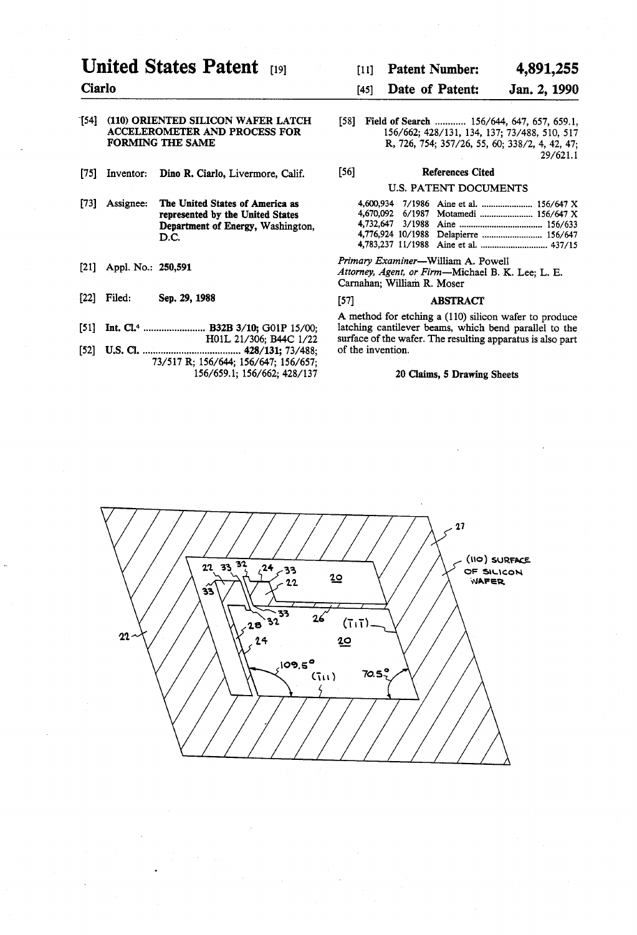# United States Patent [191]

Ciarlo

## '[54] (110) ORIENTED SILICON WAFER LATCH ACCELEROMETER AND PROCESS FOR FORMING THE SAME

- [75] Inventor: Dino R. Ciarlo, Livermore, Calif.
- The United States of America as represented by the United States Department of Energy, Washington, D.C. [73] Assignee:
- [21] Appl. No.: 250,591
- [22] Filed: Sep. 29, 1988
- [51] Int. Cl.<sup>4</sup> ............................ B32B 3/10; G01P 15/00;
- H01L 21/306; B44C l/22 [52] U.S. Cl. .................................... .. 428/131; 73/488; 73/517 R; 156/644; 156/647; 156/657; 156/659.1; 156/662; 428/137

# [11] Patent Number: 4,891,255

# [45] **Date of Patent:** Jan. 2, 1990

[58] Field of Search ............ 156/644, 647, 657, 659.1, 156/662; 428/131, 134, 137; 73/488, 510, 517 R, 726, 754; 357/26, 55, 60; 338/2, 4, 42, 47; 29/621. 1

[56] References Cited

# U.S. PATENT DOCUMENTS

|  | 4.600.934 7/1986 Aine et al.  156/647 X |  |
|--|-----------------------------------------|--|
|  |                                         |  |
|  |                                         |  |
|  | 4,776,924 10/1988 Delapierre  156/647   |  |
|  |                                         |  |

Primary Examiner-William A. Powell Attorney, Agent, or Firm-Michael B. K. Lee; L. E. Carnahan; William R. Moser

# [57] ABSTRACT

A method for etching a (110) silicon wafer to produce latching cantilever beams, which bend parallel to the surface of the wafer. The resulting apparatus is also part of the invention.

#### 20 Claims, 5 Drawing Sheets

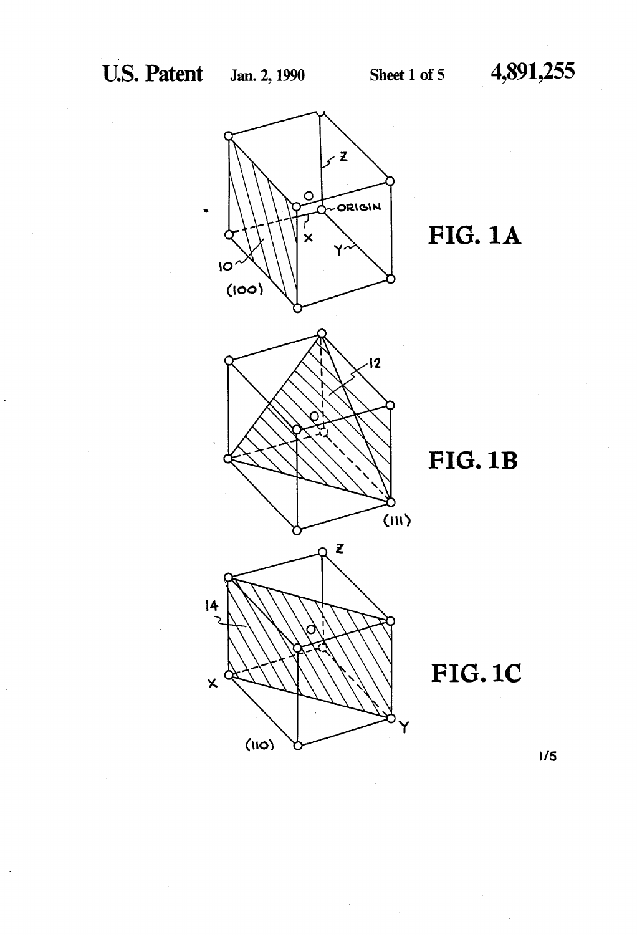$\overline{O}$ 

 $|4$ 

 $\overline{\mathbf{x}}$ 

 $(110)$ 



**FIG.1B** 



'Y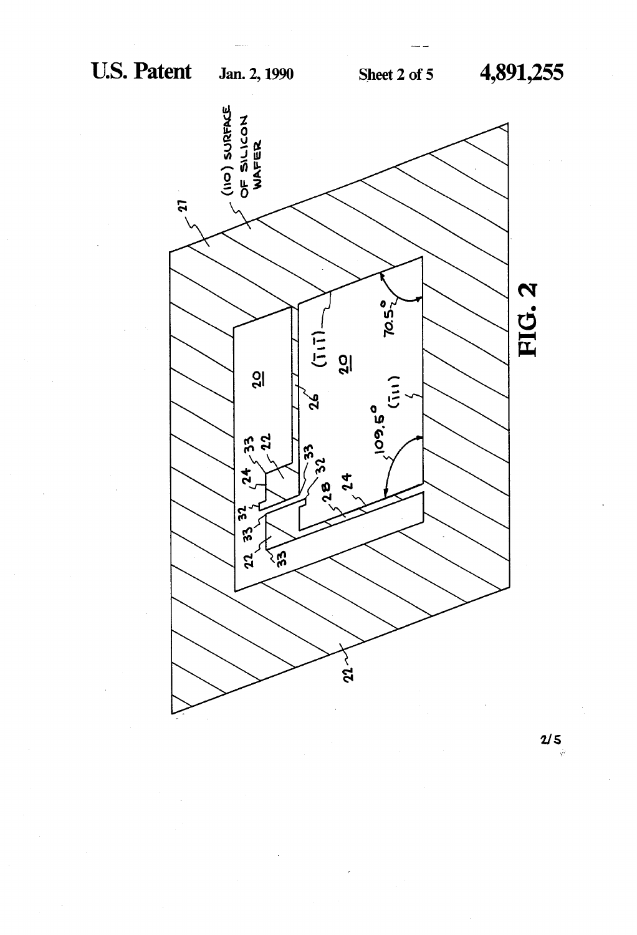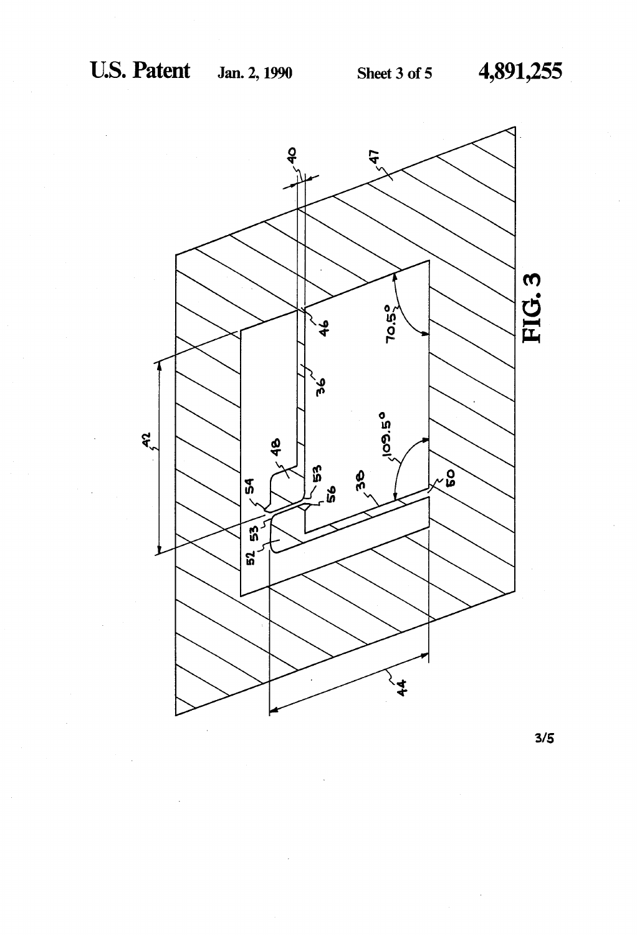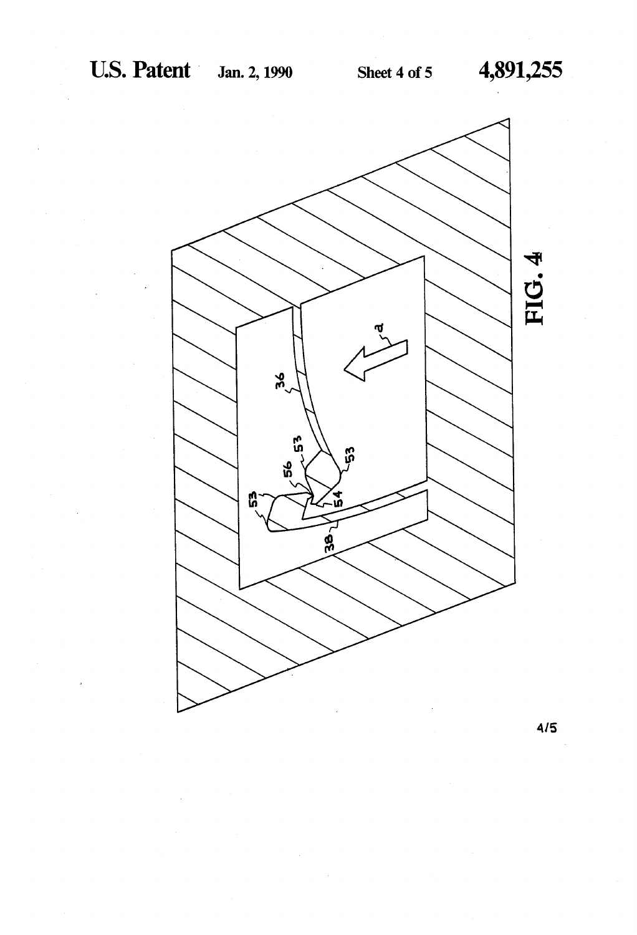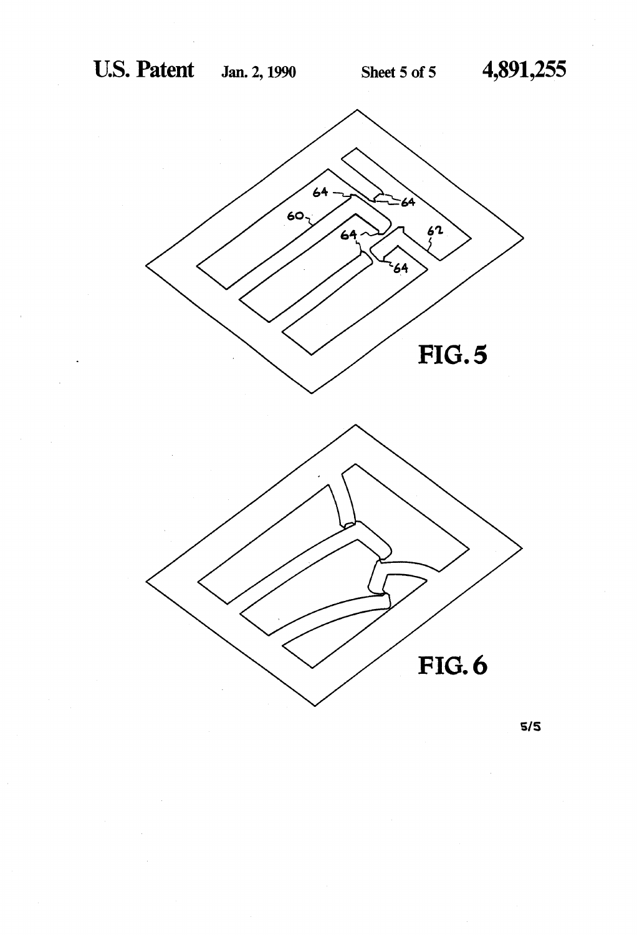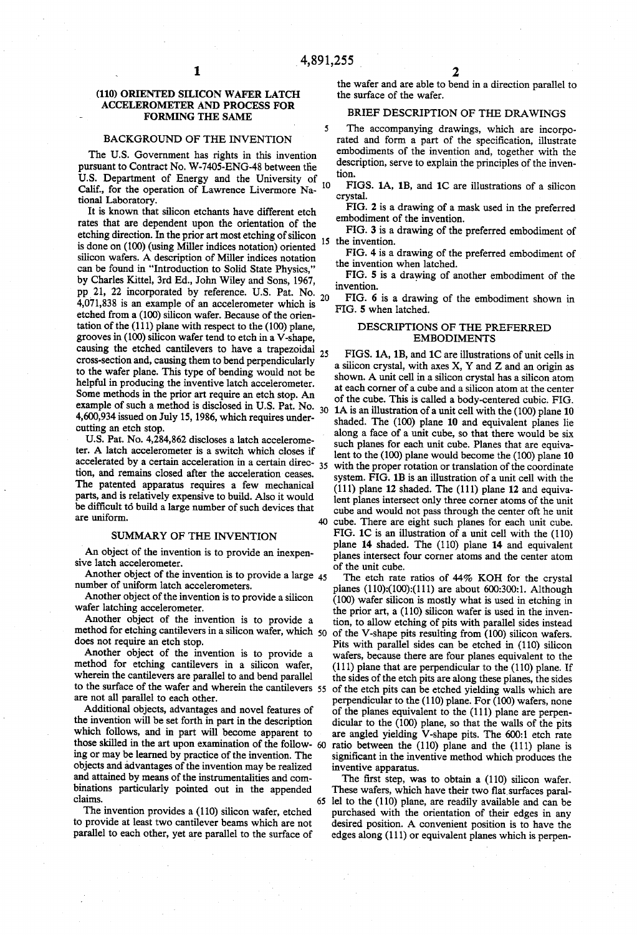$\blacktriangleleft$ 

## (110) ORIENTED SILICON WAFER LATCH ACCELEROMETER AND PROCESS FOR FORMING THE SAME

1

#### BACKGROUND OF THE INVENTION

The U.S. Government has rights in this invention pursuant to Contract No. W-7405-ENG-48 between the U.S. Department of Energy and the University of Calif, for the operation of Lawrence Livermore Na tional Laboratory. 10

It is known that silicon etchants have different etch rates that are dependent upon the orientation of the etching direction. In the prior art most etching of silicon is done on (100) (using Miller indices notation) oriented silicon wafers. A description of Miller indices notation can be found in "Introduction to Solid State Physics," by Charles Kittel, 3rd Ed., John Wiley and Sons, 1967, pp 21, 22 incorporated by reference. U.S. Pat. No.  $_{20}$ <br>4.071.828 is an amount of an accelerative which is 20 4,071,838 is an example of an accelerometer which is etched from a (100) silicon wafer. Because of the orien tation of the (111) plane with respect to the (100) plane, grooves in (100) silicon wafer tend to etch in a V-shape, causing the etched cantilevers to have a trapezoidal  $_{25}$ cross-section and, causing them to bend perpendicularly to the wafer plane. This type of bending would not be helpful in producing the inventive latch accelerometer. Some methods in the prior art require an etch stop. An example of such a method is disclosed in U.S. Pat. No.  $_{30}$ 4,600,934 issued on July 15, 1986, which requires under cutting an etch stop.

U.S. Pat. No. 4,284,862 discloses a latch accelerometer. A latch accelerometer is a switch which closes if accelerated by a certain acceleration in a certain direc- 35 tion, and remains closed after the acceleration ceases. The patented apparatus requires a few mechanical parts, and is relatively expensive to build. Also it would be difficult to build a large number of such devices that are uniform.

#### SUMMARY OF THE INVENTION

An object of the invention is to provide an inexpen sive latch accelerometer.

Another object of the invention is to provide a large 45 number of uniform latch accelerometers.

Another object of the invention is to provide a silicon wafer latching accelerometer.

Another object of the invention is to provide a method for etching cantilevers in a silicon wafer, which 50 does not require an etch stop.

Another object of the invention is to provide a method for etching cantilevers in a silicon wafer, wherein the cantilevers are parallel to and bend parallel to the surface of the wafer and wherein the cantilevers 55 are not all parallel to each other.

Additional objects, advantages and novel features of the invention will be set forth in part in the description which follows, and in part will become apparent to those skilled in the art upon examination of the follow- 60 ing or may be learned by practice of the invention. The objects and advantages of the invention may be realized and attained by means of the instrumentalities and com binations particularly pointed out in the appended claims. 65

The invention provides a (110) silicon wafer, etched to provide at least two cantilever beams which are not parallel to each other, yet are parallel to the surface of

the wafer and are able to bend in a direction parallel to the surface of the wafer.

## BRIEF DESCRIPTION OF THE DRAWINGS

The accompanying drawings, which are incorpo rated and form a part of the specification, illustrate embodiments of the invention and, together with the description, serve to explain the principles of the inven tion.

FIGS. 1A, 1B, and 1C are illustrations of a silicon crystal.

FIG. 2 is a drawing of a mask used in the preferred embodiment of the invention.

FIG. 3 is a drawing of the preferred embodiment of 15 the invention.

FIG. 4 is a drawing of the preferred embodiment of the invention when latched.

FIG. 5 is a drawing of another embodiment of the invention.

FIG. 6 is a drawing of the embodiment shown in FIG. 5 when latched.

## DESCRIPTIONS OF THE PREFERRED EMBODIMENTS

FIGS. 1A, 1B, and 1C are illustrations of unit cells in a silicon crystal, with axes X, Y and Z and an origin as shown. A unit cell in a silicon crystal has a silicon atom at each corner of a cube and a silicon atom at the center of the cube. This is called a body-centered cubic. FIG. 1A is an illustration of a unit cell with the (100) plane 10 shaded. The (100) plane 10 and equivalent planes lie along a face of a unit cube, so that there would be six such planes for each unit cube. Planes that are equiva lent to the (100) plane would become the (100) plane 10 with the proper rotation or translation of the coordinate system. FIG. 1B is an illustration of a unit cell with the (111) plane 12 shaded. The (111) plane 12 and equiva lent planes intersect only three comer atoms of the unit cube and would not pass through the center oft he unit cube. There are eight such planes for each unit cube. FIG. 1C is an illustration of a unit cell with the (110) plane 14 shaded. The (110) plane 14 and equivalent planes intersect four corner atoms and the center atom of the unit cube.

The etch rate ratios of 44% KOH for the crystal planes  $(110):(100):(111)$  are about 600:300:1. Although (100) wafer silicon is mostly what is used in etching in the prior art, a (110) silicon wafer is used in the inven tion, to allow etching of pits with parallel sides instead of the V-shape pits resulting from (100) silicon wafers. Pits with parallel sides can be etched in (110) silicon wafers, because there are four planes equivalent to the (111) plane that are perpendicular to the (110) plane. If the sides of the etch pits are along these planes, the sides of the etch pits can be etched yielding walls which are perpendicular to the (110) plane. For (100) wafers, none of the planes equivalent to the (111) plane are perpen dicular to the (100) plane, so that the walls of the pits are angled yielding V-shape pits. The 600:1 etch rate ratio between the (110) plane and the (111) plane is significant in the inventive method which produces the inventive apparatus.

The first step, was to obtain a  $(110)$  silicon wafer. These wafers, which have their two flat surfaces parallel to the (110) plane, are readily available and can be purchased with the orientation of their edges in any desired position. A convenient position is to have the edges along (111) or equivalent planes which is perpen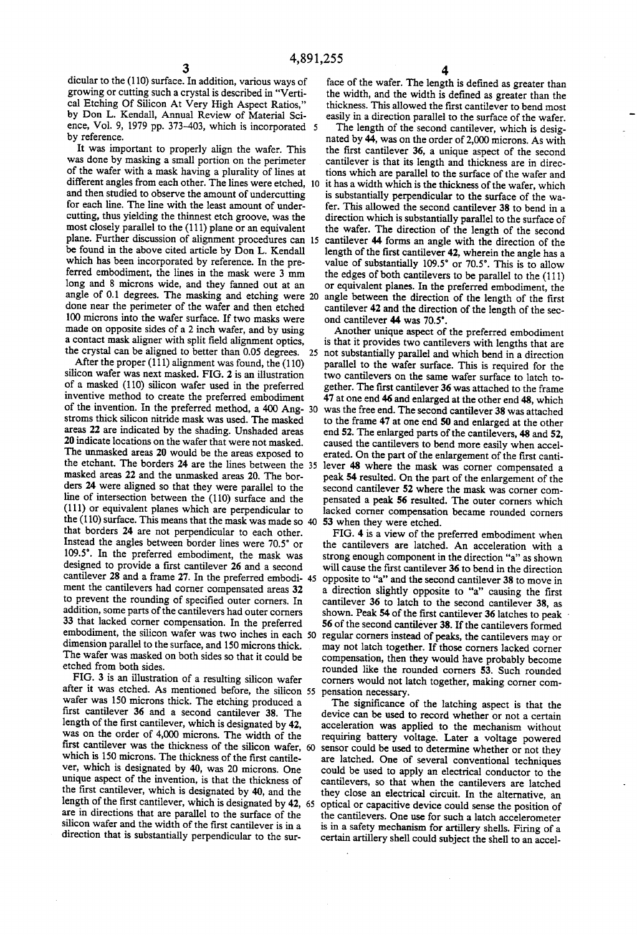dicular to the (110) surface. In addition, various ways of growing or cutting such a crystal is described in "Verti cal Etching Of Silicon At Very High Aspect Ratios," by Don L. Kendall, Annual Review of Material Sci ence, Vol. 9, 1979 pp. 373-403, which is incorporated by reference.

It was important to properly align the wafer. This was done by masking a small portion on the perimeter of the wafer with a mask having a plurality of lines at different angles from each other. The lines were etched, 10 and then studied to observe the amount of undercutting for each line. The line with the least amount of under cutting, thus yielding the thinnest etch groove, was the most closely parallel to the  $(111)$  plane or an equivalent plane. Further discussion of alignment procedures can be found in the above cited article by Don L. Kendall which has been incorporated by reference. In the pre ferred embodiment, the lines in the mask were 3 mm long and 8 microns wide, and they fanned out at an angle of 0.1 degrees. The masking and etching were 20 done near the perimeter of the wafer and then etched 100 microns into the wafer surface. If two masks were made on opposite sides of a 2 inch wafer, and by using a contact mask aligner with split field alignment optics, the crystal can be aligned to better than 0.05 degrees.

After the proper  $(111)$  alignment was found, the  $(110)$ silicon wafer was next masked. FIG. 2 is an illustration of a masked (110) silicon wafer used in the preferred inventive method to create the preferred embodiment of the invention. In the preferred method, a 400 Ang- 30 stroms thick silicon nitride mask was used. The masked areas 22 are indicated by the shading. Unshaded areas 20 indicate locations on the wafer that were not masked. The unmasked areas 20 would be the areas exposed to the etchant. The borders 24 are the lines between the masked areas 22 and the unmasked areas 20. The bor ders 24 were aligned so that they were parallel to the line of intersection between the (110) surface and the (111) or equivalent planes which are perpendicular to the (1 10) surface. This means that the mask was made so 40 that borders 24 are not perpendicular to each other. Instead the angles between border lines were 70.5° or 109.5'. In the preferred embodiment, the mask was designed to provide a first cantilever 26 and a second cantilever 28 and a frame 27. In the preferred embodi- 45 ment the cantilevers had corner compensated areas 32 to prevent the rounding of specified outer corners. In addition, some parts of the cantilevers had outer corners 33 that lacked corner compensation. In the preferred embodiment, the silicon wafer was two inches in each dimension parallel to the surface, and 150 microns thick. The wafer was masked on both sides so that it could be etched from both sides.

FIG. 3 is an illustration of a resulting silicon wafer after it was etched. As mentioned before, the silicon 55 wafer was 150 microns thick. The etching produced a first cantilever 36 and a second cantilever 38. The length of the first cantilever, which is designated by  $42$ , was on the order of 4,000 microns. The width of the first cantilever was the thickness of the silicon wafer, 60 which is 150 microns. The thickness of the first cantilever, which is designated by 40, was 20 microns. One unique aspect of the invention, is that the thickness of the first cantilever, which is designated by 40, and the are in directions that are parallel to the surface of the silicon wafer and the width of the first cantilever is in a direction that is substantially perpendicular to the sur length of the first cantilever, which is designated by 42, 65

face of the wafer. The length is defined as greater than the width, and the width is defined as greater than the thickness. This allowed the first cantilever to bend most easily in a direction parallel to the surface of the wafer.

The length of the second cantilever, which is desig nated by 44, was on the order of 2,000 microns. As with the first cantilever 36, a unique aspect of the second cantilever is that its length and thickness are in direc tions which are parallel to the surface of the wafer and it has a width which is the thickness of the wafer, which is substantially perpendicular to the surface of the wa~ fer. This allowed the second cantilever 38 to bend in a direction which is substantially parallel to the surface of the wafer. The direction of the length of the second cantilever 44 forms an angle with the direction of the length of the first cantilever 42, wherein the angle has a value of substantially  $109.5^\circ$  or 70.5°. This is to allow the edges of both cantilevers to be parallel to the (111) or equivalent planes. In the preferred embodiment, the angle between the direction of the length of the first cantilever 42 and the direction of the length of the sec ond cantilever 44 was 70.5'.

25 not substantially parallel and which bend in a direction Another unique aspect of the preferred embodiment is that it provides two cantilevers with lengths that are parallel to the wafer surface. This is required for the two cantilevers on the same wafer surface to latch to gether. The first cantilever 36 was attached to the frame 47 at one end 46 and enlarged at the other end 48, which was the free end. The second cantilever 38 was attached to the frame 47 at one end 50 and enlarged at the other end 52. The enlarged parts of the cantilevers, 48 and 52, caused the cantilevers to bend more easily when accel erated. On the part of the enlargement of the first cantilever 48 where the mask was comer compensated a peak 54 resulted. On the part of the enlargement of the second cantilever 52 where the mask was corner com pensated a peak 56 resulted. The outer comers which lacked corner compensation became rounded corners 53 when they were etched.

FIG. 4 is a view of the preferred embodiment when the cantilevers are latched. An acceleration with a strong enough component in the direction "a" as shown will cause the first cantilever 36 to bend in the direction opposite to "a" and the second cantilever 38 to move in a direction slightly opposite to "a" causing the first cantilever 36 to latch to the second cantilever 38, as shown. Peak 54 of the first cantilever 36 latches to peak 56 of the second cantilever 38. If the cantilevers formed regular corners instead of peaks, the cantilevers may or may not latch together. If those corners lacked corner compensation, then they would have probably become rounded like the rounded corners 53. Such rounded corners would not latch together, making corner com pensation necessary.

The significance of the latching aspect is that the device can be used to record whether or not a certain acceleration was applied to the mechanism without requiring battery voltage. Later a voltage powered sensor could be used to determine whether or not they are latched. One of several conventional techniques could be used to apply an electrical conductor to the cantilevers, so that when the cantilevers are latched they close an electrical circuit. In the alternative, an optical or capacitive device could sense the position of the cantilevers. One use for such a latch accelerometer is in a safety mechanism for artillery shells. Firing of a certain artillery shell could subject the shell to an accel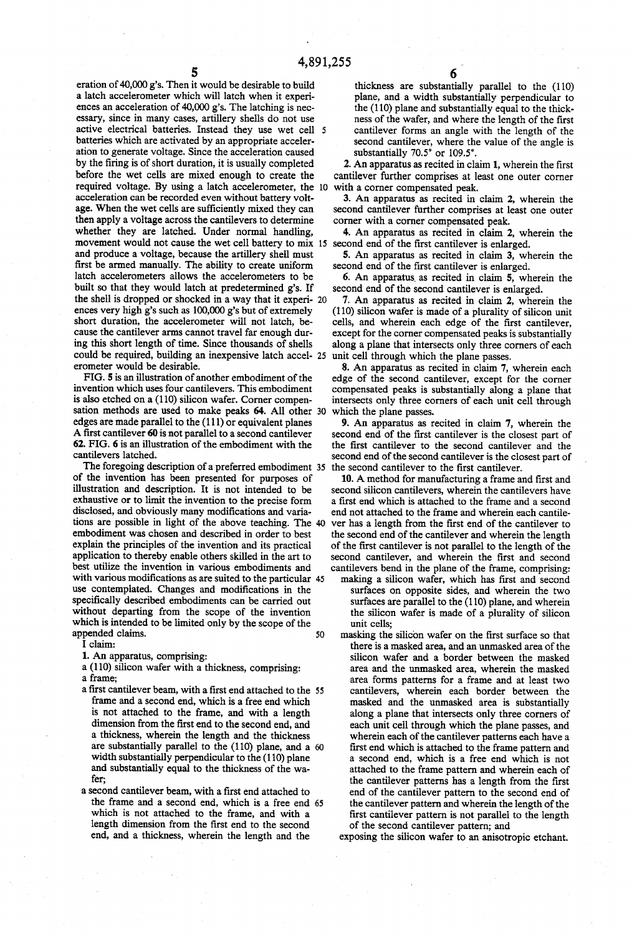4,891,255<br> $\frac{5}{5}$  eration of 40,000 g's. Then it would be desirable to build a latch accelerometer which will latch when it experiences an acceleration of 40,000 g's. The latching is nec essary, since in many cases, artillery shells do not use active electrical batteries. Instead they use wet cell batteries which are activated by an appropriate acceler ation to generate voltage. Since the acceleration caused by the firing is of short duration, it is usually completed before the wet cells are mixed enough to create the required voltage. By using a latch accelerometer, the 10 with a corner compensated peak. acceleration can be recorded even without battery volt age. When the wet cells are sufficiently mixed they can then apply a voltage across the cantilevers to determine whether they are latched. Under normal handling, movement would not cause the wet cell battery to mix 15 second end of the first cantilever is enlarged. and produce a voltage, because the artillery shell must first be armed manually. The ability to create uniform latch accelerometers allows the accelerometers to be built so that they would latch at predetermined g's. If the shell is dropped or shocked in a way that it experi- 20 ences very high g's such as 100,000 g's but of extremely short duration, the accelerometer will not latch, because the cantilever arms cannot travel far enough during this short length of time. Since thousands of shells could be required, building an inexpensive latch accel- 25 erometer would be desirable.

FIG. 5 is an illustration of another embodiment of the invention which uses four cantilevers. This embodiment is also etched on a (110) silicon wafer. Corner compen sation methods are used to make peaks 64. All other 30 edges are made parallel to the  $(111)$  or equivalent planes A first cantilever 60 is not parallel to a second cantilever 62. FIG. 6 is an illustration of the embodiment with the cantilevers latched.

The foregoing description of a preferred embodiment 35 of the invention has been presented for purposes of illustration and description. It is not intended to be exhaustive or to limit the invention to the precise form disclosed, and obviously many modifications and variations are possible in light of the above teaching. The embodiment was chosen and described in order to best explain the principles of the invention and its practical application to thereby enable others skilled in the art to best utilize the invention in various embodiments and with various modifications as are suited to the particular 45 use contemplated. Changes and modifications in the specifically described embodiments can be carried out without departing from the scope of the invention which is intended to be limited only by the scope of the appended claims. 50

I claim:

1. An apparatus, comprising:

a (110) silicon wafer with a thickness, comprising:

a frame;

- a first cantilever beam, with a first end attached to the 55 frame and a second end, which is a free end which is not attached to the frame, and with a length dimension from the first end to the second end, and<br>a thickness, wherein the length and the thickness are substantially parallel to the  $(110)$  plane, and a 60 width substantially perpendicular to the  $(110)$  plane and substantially equal to the thickness of the wa fer;<br>a second cantilever beam, with a first end attached to
- the frame and a second end, which is a free end 65 which is not attached to the frame, and with a length dimension from the first end to the second end, and a thickness, wherein the length and the

thickness are substantially parallel to the (110) plane, and a width substantially perpendicular to the (110) plane and substantially equal to the thickness of the wafer, and where the length of the first cantilever forms an angle with the length of the second cantilever, where the value of the angle is substantially 70.5° or 109.5".

2. An apparatus as recited in claim 1, wherein the first cantilever further comprises at least one outer corner

3. An apparatus as recited in claim 2, wherein the second cantilever further comprises at least one outer corner with a corner compensated peak.

4. An apparatus as recited in claim 2, wherein the

5. An apparatus as recited in claim 3, wherein the second end of the first cantilever is enlarged.

6. An apparatus as recited in claim 5, wherein the second end of the second cantilever is enlarged.

7. An apparatus as recited in claim 2, wherein the (110) silicon wafer is made of a plurality of silicon unit cells, and wherein each edge of the first cantilever, except for the corner compensated peaks is substantially along a plane that intersects only three corners of each unit cell through which the plane passes.

8. An apparatus as recited in claim 7, wherein each edge of the second cantilever, except for the corner compensated peaks is substantially along a plane that intersects only three corners of each unit cell through which the plane passes.

9. An apparatus as recited in claim 7, wherein the second end of the first cantilever is the closest part of the first cantilever to the second cantilever and the second end of the second cantilever is the closest part of the second cantilever to the first cantilever.

10. A method for manufacturing a frame and first and second silicon cantilevers, wherein the cantilevers have a first end which is attached to the frame and a second end not attached to the frame and wherein each cantile ver has a length from the first end of the cantilever to the second end of the cantilever and wherein the length of the first cantilever is not parallel to the length of the second cantilever, and wherein the first and second cantilevers bend in the plane of the frame, comprising:

making a silicon wafer, which has first and second surfaces on opposite sides, and wherein the two surfaces are parallel to the (110) plane, and wherein the silicon wafer is made of a plurality of silicon unit cells;

masking the silicon wafer on the first surface so that there is a masked area, and an unmasked area of the silicon wafer and a border between the masked area and the unmasked area, wherein the masked area forms patterns for a frame and at least two cantilevers, wherein each border between the masked and the unmasked area is substantially along a plane that intersects only three corners of each unit cell through which the plane passes, and wherein each of the cantilever patterns each have a first end which is attached to the frame pattern and a second end, which is a free end which is not attached to the frame pattern and wherein each of the cantilever patterns has a length from the first end of the cantilever pattern to the second end of the cantilever pattern and wherein the length of the first cantilever pattern is not parallel to the length of the second cantilever pattern; and

exposing the silicon wafer to an anisotropic etchant.